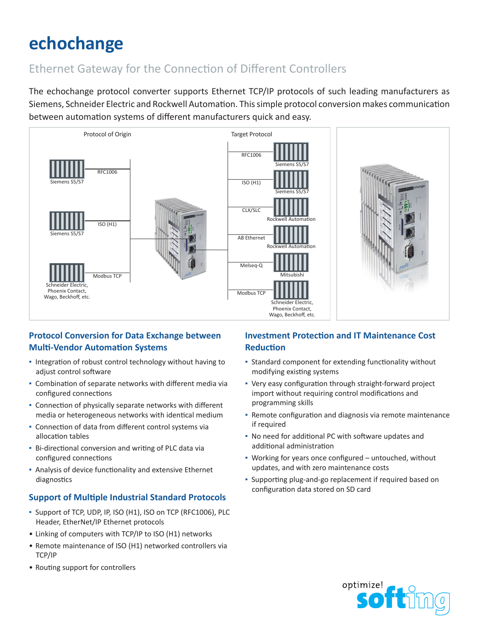# **echochange**

## Ethernet Gateway for the Connection of Different Controllers

The echochange protocol converter supports Ethernet TCP/IP protocols of such leading manufacturers as Siemens, Schneider Electric and Rockwell Automation. This simple protocol conversion makes communication between automation systems of different manufacturers quick and easy.



### **Protocol Conversion for Data Exchange between Multi-Vendor Automation Systems**

- Integration of robust control technology without having to adjust control software
- Combination of separate networks with different media via configured connections
- Connection of physically separate networks with different media or heterogeneous networks with identical medium
- Connection of data from different control systems via allocation tables
- Bi-directional conversion and writing of PLC data via configured connections
- Analysis of device functionality and extensive Ethernet diagnostics

### **Support of Multiple Industrial Standard Protocols**

- Support of TCP, UDP, IP, ISO (H1), ISO on TCP (RFC1006), PLC Header, EtherNet/IP Ethernet protocols
- Linking of computers with TCP/IP to ISO (H1) networks
- Remote maintenance of ISO (H1) networked controllers via TCP/IP
- Routing support for controllers

### **Investment Protection and IT Maintenance Cost Reduction**

- Standard component for extending functionality without modifying existing systems
- Very easy configuration through straight-forward project import without requiring control modifications and programming skills
- **· Remote configuration and diagnosis via remote maintenance** if required
- No need for additional PC with software updates and additional administration
- Working for years once configured untouched, without updates, and with zero maintenance costs
- Supporting plug-and-go replacement if required based on configuration data stored on SD card